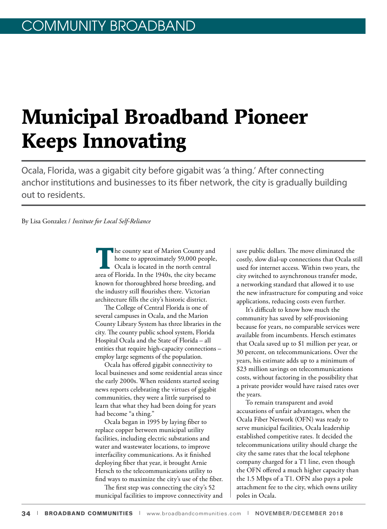# **Municipal Broadband Pioneer Keeps Innovating**

Ocala, Florida, was a gigabit city before gigabit was 'a thing.' After connecting anchor institutions and businesses to its fiber network, the city is gradually building out to residents.

By Lisa Gonzalez / *Institute for Local Self-Reliance*

**T**he county seat of Marion County and home to approximately 59,000 people, Ocala is located in the north central area of Florida. In the 1940s, the city became known for thoroughbred horse breeding, and the industry still flourishes there. Victorian architecture fills the city's historic district.

The College of Central Florida is one of several campuses in Ocala, and the Marion County Library System has three libraries in the city. The county public school system, Florida Hospital Ocala and the State of Florida – all entities that require high-capacity connections – employ large segments of the population.

Ocala has offered gigabit connectivity to local businesses and some residential areas since the early 2000s. When residents started seeing news reports celebrating the virtues of gigabit communities, they were a little surprised to learn that what they had been doing for years had become "a thing."

Ocala began in 1995 by laying fiber to replace copper between municipal utility facilities, including electric substations and water and wastewater locations, to improve interfacility communications. As it finished deploying fiber that year, it brought Arnie Hersch to the telecommunications utility to find ways to maximize the city's use of the fiber.

The first step was connecting the city's 52 municipal facilities to improve connectivity and save public dollars. The move eliminated the costly, slow dial-up connections that Ocala still used for internet access. Within two years, the city switched to asynchronous transfer mode, a networking standard that allowed it to use the new infrastructure for computing and voice applications, reducing costs even further.

It's difficult to know how much the community has saved by self-provisioning because for years, no comparable services were available from incumbents. Hersch estimates that Ocala saved up to \$1 million per year, or 30 percent, on telecommunications. Over the years, his estimate adds up to a minimum of \$23 million savings on telecommunications costs, without factoring in the possibility that a private provider would have raised rates over the years.

To remain transparent and avoid accusations of unfair advantages, when the Ocala Fiber Network (OFN) was ready to serve municipal facilities, Ocala leadership established competitive rates. It decided the telecommunications utility should charge the city the same rates that the local telephone company charged for a T1 line, even though the OFN offered a much higher capacity than the 1.5 Mbps of a T1. OFN also pays a pole attachment fee to the city, which owns utility poles in Ocala.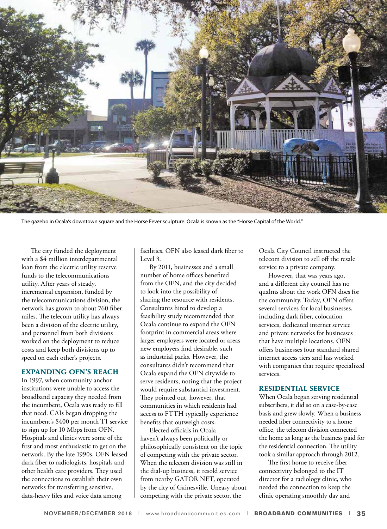

The gazebo in Ocala's downtown square and the Horse Fever sculpture. Ocala is known as the "Horse Capital of the World."

The city funded the deployment with a \$4 million interdepartmental loan from the electric utility reserve funds to the telecommunications utility. After years of steady, incremental expansion, funded by the telecommunications division, the network has grown to about 760 fiber miles. The telecom utility has always been a division of the electric utility, and personnel from both divisions worked on the deployment to reduce costs and keep both divisions up to speed on each other's projects.

### **EXPANDING OFN'S REACH**

In 1997, when community anchor institutions were unable to access the broadband capacity they needed from the incumbent, Ocala was ready to fill that need. CAIs began dropping the incumbent's \$400 per month T1 service to sign up for 10 Mbps from OFN. Hospitals and clinics were some of the first and most enthusiastic to get on the network. By the late 1990s, OFN leased dark fiber to radiologists, hospitals and other health care providers. They used the connections to establish their own networks for transferring sensitive, data-heavy files and voice data among

facilities. OFN also leased dark fiber to Level 3.

By 2011, businesses and a small number of home offices benefited from the OFN, and the city decided to look into the possibility of sharing the resource with residents. Consultants hired to develop a feasibility study recommended that Ocala continue to expand the OFN footprint in commercial areas where larger employers were located or areas new employers find desirable, such as industrial parks. However, the consultants didn't recommend that Ocala expand the OFN citywide to serve residents, noting that the project would require substantial investment. They pointed out, however, that communities in which residents had access to FTTH typically experience benefits that outweigh costs.

Elected officials in Ocala haven't always been politically or philosophically consistent on the topic of competing with the private sector. When the telecom division was still in the dial-up business, it resold service from nearby GATOR NET, operated by the city of Gainesville. Uneasy about competing with the private sector, the

Ocala City Council instructed the telecom division to sell off the resale service to a private company.

However, that was years ago, and a different city council has no qualms about the work OFN does for the community. Today, OFN offers several services for local businesses, including dark fiber, colocation services, dedicated internet service and private networks for businesses that have multiple locations. OFN offers businesses four standard shared internet access tiers and has worked with companies that require specialized services.

#### **RESIDENTIAL SERVICE**

When Ocala began serving residential subscribers, it did so on a case-by-case basis and grew slowly. When a business needed fiber connectivity to a home office, the telecom division connected the home as long as the business paid for the residential connection. The utility took a similar approach through 2012.

The first home to receive fiber connectivity belonged to the IT director for a radiology clinic, who needed the connection to keep the clinic operating smoothly day and